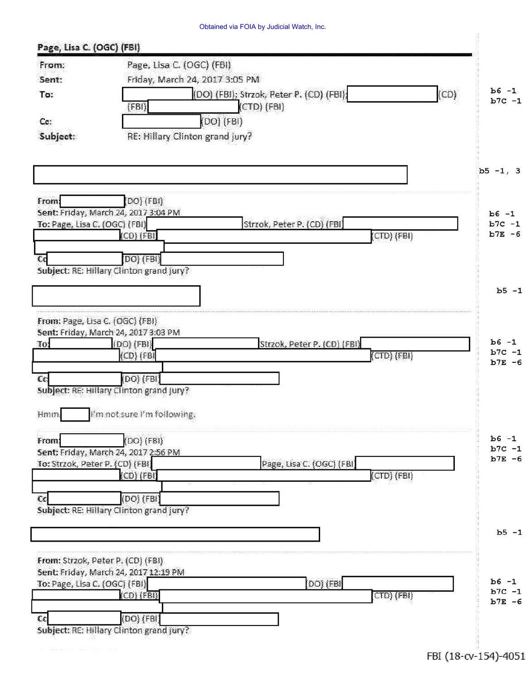## Obtained via FOIA by Judicial Watch, Inc.

| From:                             |                                                                                      |                       |  |  |  |  |
|-----------------------------------|--------------------------------------------------------------------------------------|-----------------------|--|--|--|--|
|                                   | Page, Lisa C. (OGC) (FBI)                                                            |                       |  |  |  |  |
| Sent:                             | Friday, March 24, 2017 3:05 PM<br>$b6 -1$                                            |                       |  |  |  |  |
| To:                               | (CD)<br>(DO) (FBI); Strzok, Peter P. (CD) (FBI);<br>(CTD) (FBI)<br>(FBI)             | $b7C -1$              |  |  |  |  |
| Cc:                               | (DO) (FBI)                                                                           |                       |  |  |  |  |
| Subject:                          | RE: Hillary Clinton grand jury?                                                      |                       |  |  |  |  |
|                                   |                                                                                      |                       |  |  |  |  |
|                                   |                                                                                      | $b5 - 1, 3$           |  |  |  |  |
| From:                             | $[DO]$ $(FBI)$<br>Sent: Friday, March 24, 2017 3:04 PM                               | $b6 -1$               |  |  |  |  |
| To: Page, Lisa C. (OGC) (FBI)     | Strzok, Peter P. (CD) (FBI)                                                          | $b7C -1$              |  |  |  |  |
|                                   | $(CD)$ (FBI)<br>$CO$ $(FBI)$                                                         | $b7E - 6$             |  |  |  |  |
|                                   |                                                                                      |                       |  |  |  |  |
| €€                                | DO) (FBI)<br>Subject: RE: Hillary Clinton grand jury?                                |                       |  |  |  |  |
|                                   |                                                                                      |                       |  |  |  |  |
|                                   |                                                                                      | $b5 - 1$              |  |  |  |  |
|                                   |                                                                                      |                       |  |  |  |  |
| From: Page, Lisa C. (OGC) (FBI)   |                                                                                      |                       |  |  |  |  |
| 10.                               | Sent: Friday, March 24, 2017 3:03 PM<br>$(DO)$ $(FB)$<br>Strzok, Peter P. (CD) (FBI) | $b6 -1$               |  |  |  |  |
|                                   | $(CD)$ $(FB)$<br>$(CTO)$ $(FBI)$                                                     | $b7C -1$              |  |  |  |  |
|                                   |                                                                                      | $b7E - 6$             |  |  |  |  |
| cc                                | (DO) (FBI)                                                                           |                       |  |  |  |  |
|                                   | Subject: RE: Hillary Clinton grand jury?                                             |                       |  |  |  |  |
| Hmm.                              | I'm not sure I'm following.                                                          |                       |  |  |  |  |
| From:                             | (DO) (FBI)                                                                           | $b6 - 1$              |  |  |  |  |
|                                   | Sent: Friday, March 24, 2017 2:56 PM                                                 | $b7C -1$              |  |  |  |  |
| To: Strzok, Peter P. (CD) (FBI)   | Page, Lisa C. (OGC) (FBI)                                                            | $b7E - 6$             |  |  |  |  |
|                                   | $(CTD)$ $(FBI)$<br>$(CD)$ $(FBI)$                                                    |                       |  |  |  |  |
| cc                                | (DO) (FBI)                                                                           |                       |  |  |  |  |
|                                   | Subject: RE: Hillary Clinton grand jury?                                             |                       |  |  |  |  |
|                                   |                                                                                      |                       |  |  |  |  |
|                                   |                                                                                      | $b5 - 1$              |  |  |  |  |
|                                   |                                                                                      |                       |  |  |  |  |
|                                   |                                                                                      |                       |  |  |  |  |
| From: Strzok, Peter P. (CD) (FBI) |                                                                                      |                       |  |  |  |  |
|                                   | Sent: Friday, March 24, 2017 12:19 PM                                                | $b6 -1$               |  |  |  |  |
| To: Page, Lisa C. (OGC) (FBI)     | DO) (FBI<br>$(CD)$ $(FB)$                                                            |                       |  |  |  |  |
|                                   | $(CD)$ (FBI)                                                                         |                       |  |  |  |  |
| cc                                | (DO) (FBI)<br>Subject: RE: Hillary Clinton grand jury?                               | $b7C -1$<br>$b7E - 6$ |  |  |  |  |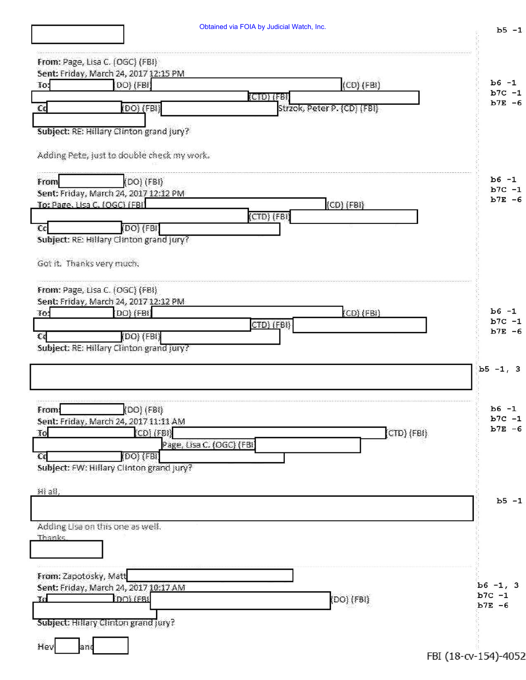| Obtained via FOIA by Judicial Watch, Inc. |  |  |  |  |  |  |
|-------------------------------------------|--|--|--|--|--|--|
|-------------------------------------------|--|--|--|--|--|--|

 $b5 - 1$ 

| From: Page, Lisa C. (OGC) (FBI)                                  |                         |
|------------------------------------------------------------------|-------------------------|
| Sent: Friday, March 24, 2017 12:15 PM                            | $b6 -1$                 |
| $(CD)$ (FBI)<br>[DO] (FBI]<br>To:<br>(CID) (FBI                  | $b7C - 1$               |
| $(DO)$ $(FBI)$<br>$\epsilon$<br>Strzok, Peter P. (CD) (FBI)      | $b7E - 6$               |
|                                                                  |                         |
| Subject: RE: Hillary Clinton grand jury?                         |                         |
| Adding Pete, just to double check my work.                       |                         |
| (DO) (FBI)<br>From                                               | $b6 -1$                 |
| Sent: Friday, March 24, 2017 12:12 PM                            | $b7C -1$<br>$b7E - 6$   |
| $(CD)$ $(FB1)$<br>To: Page, Lisa C, (OGC) (FBI                   |                         |
| $(CTD)$ $(FBI)$<br>(DO) (FBI)<br>$\overline{\mathbb{C}}$         |                         |
| Subject: RE: Hillary Clinton grand jury?                         |                         |
|                                                                  |                         |
| Got it. Thanks very much.                                        |                         |
| From: Page, Lisa C. (OGC) (FBI)                                  |                         |
| Sent: Friday, March 24, 2017 12:12 PM                            | $b6 -1$                 |
| (DO) (FBI)<br>$(CD)$ (FBI)<br>To:<br>СТD) (EBI)                  | $b7C -1$                |
| (DO) (FBI)<br>€d                                                 | $b7E - 6$               |
| Subject: RE: Hillary Clinton grand jury?                         |                         |
|                                                                  |                         |
|                                                                  | $b5 - 1, 3$             |
|                                                                  |                         |
|                                                                  | $b6 -1$                 |
| $(DO)$ $(FB1)$<br>From:<br>Sent: Friday, March 24, 2017 11:11 AM | $b7C -1$                |
| CO(FB)<br>To                                                     | $b7E - 6$<br>CTD) (FBI) |
| Page, Lisa C. (OGC) (FBI                                         |                         |
| (DO) (FBI)<br>Cc                                                 |                         |
| Subject: FW: Hillary Clinton grand jury?                         |                         |
| Hi all,                                                          |                         |
|                                                                  | $b5 - 1$                |
|                                                                  |                         |
| Adding Lisa on this one as well.                                 |                         |
| Thanks                                                           |                         |
|                                                                  |                         |
| From: Zapotosky, Matt                                            |                         |
| Sent: Friday, March 24, 2017 10:17 AM                            | $b6 - 1, 3$             |
| DOI (FBI<br>$DO$ (FBI)<br>Xo.                                    | $b7C -1$<br>$b7E - 6$   |
|                                                                  |                         |
| Subject: Hillary Clinton grand jury?                             |                         |
| Hey<br>and                                                       |                         |
|                                                                  | FBI (18-cv-154)-4052    |
|                                                                  |                         |